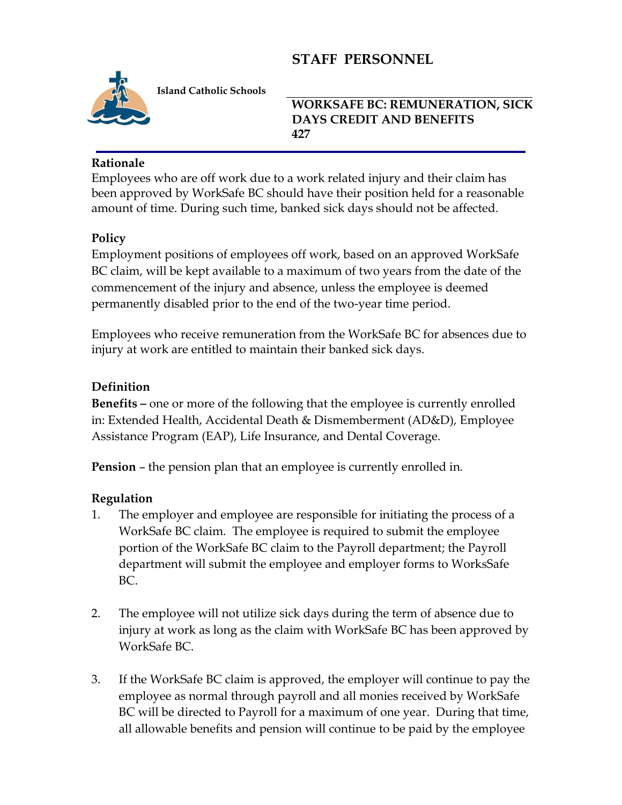# **STAFF PERSONNEL**



 **Island Catholic Schools**

#### **WORKSAFE BC: REMUNERATION, SICK DAYS CREDIT AND BENEFITS 427**

### **Rationale**

Employees who are off work due to a work related injury and their claim has been approved by WorkSafe BC should have their position held for a reasonable amount of time. During such time, banked sick days should not be affected.

#### **Policy**

Employment positions of employees off work, based on an approved WorkSafe BC claim, will be kept available to a maximum of two years from the date of the commencement of the injury and absence, unless the employee is deemed permanently disabled prior to the end of the two-year time period.

Employees who receive remuneration from the WorkSafe BC for absences due to injury at work are entitled to maintain their banked sick days.

#### **Definition**

**Benefits –** one or more of the following that the employee is currently enrolled in: Extended Health, Accidental Death & Dismemberment (AD&D), Employee Assistance Program (EAP), Life Insurance, and Dental Coverage.

**Pension** – the pension plan that an employee is currently enrolled in.

## **Regulation**

- 1. The employer and employee are responsible for initiating the process of a WorkSafe BC claim. The employee is required to submit the employee portion of the WorkSafe BC claim to the Payroll department; the Payroll department will submit the employee and employer forms to WorksSafe BC.
- 2. The employee will not utilize sick days during the term of absence due to injury at work as long as the claim with WorkSafe BC has been approved by WorkSafe BC.
- 3. If the WorkSafe BC claim is approved, the employer will continue to pay the employee as normal through payroll and all monies received by WorkSafe BC will be directed to Payroll for a maximum of one year. During that time, all allowable benefits and pension will continue to be paid by the employee